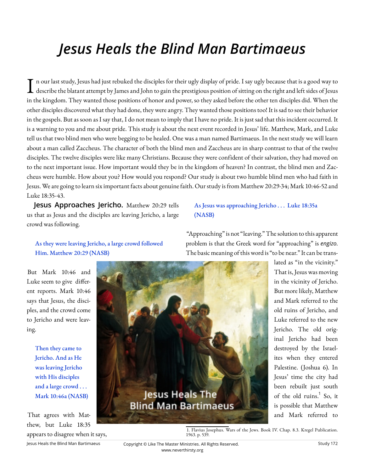# *Jesus Heals the Blind Man Bartimaeus*

Luke 18:35-43. I n our last study, Jesus had just rebuked the disciples for their ugly display of pride. I say ugly because that is a good way to describe the blatant attempt by James and John to gain the prestigious position of sitting n our last study, Jesus had just rebuked the disciples for their ugly display of pride. I say ugly because that is a good way to in the kingdom. They wanted those positions of honor and power, so they asked before the other ten disciples did. When the other disciples discovered what they had done, they were angry. They wanted those positions too! It is sad to see their behavior in the gospels. But as soon as I say that, I do not mean to imply that I have no pride. It is just sad that this incident occurred. It is a warning to you and me about pride. This study is about the next event recorded in Jesus' life. Matthew, Mark, and Luke tell us that two blind men who were begging to be healed. One was a man named Bartimaeus. In the next study we will learn about a man called Zaccheus. The character of both the blind men and Zaccheus are in sharp contrast to that of the twelve disciples. The twelve disciples were like many Christians. Because they were confident of their salvation, they had moved on to the next important issue. How important would they be in the kingdom of heaven? In contrast, the blind men and Zaccheus were humble. How about you? How would you respond? Our study is about two humble blind men who had faith in Jesus. We are going to learn six important facts about genuine faith. Our study is from Matthew 20:29-34; Mark 10:46-52 and

**Jesus Approaches Jericho.** Matthew 20:29 tells us that as Jesus and the disciples are leaving Jericho, a large crowd was following.

# As Jesus was approaching Jericho . . . Luke 18:35a (NASB)

As they were leaving Jericho, a large crowd followed Him. Matthew 20:29 (NASB)

"Approaching" is not "leaving." The solution to this apparent problem is that the Greek word for "approaching" is *engizo*. The basic meaning of this word is "to be near." It can be trans-

But Mark 10:46 and Luke seem to give different reports. Mark 10:46 says that Jesus, the disciples, and the crowd come to Jericho and were leaving.

> Then they came to Jericho. And as He was leaving Jericho with His disciples and a large crowd . . . Mark 10:46a (NASB)

That agrees with Matthew, but Luke 18:35 appears to disagree when it says,



lated as "in the vicinity." That is, Jesus was moving in the vicinity of Jericho. But more likely, Matthew and Mark referred to the old ruins of Jericho, and Luke referred to the new Jericho. The old original Jericho had been destroyed by the Israelites when they entered Palestine. (Joshua 6). In Jesus' time the city had been rebuilt just south of the old ruins.<sup>1</sup> So, it is possible that Matthew and Mark referred to

1. Flavius Josephus. Wars of the Jews. Book IV. Chap. 8.3. Kregel Publication. 1963. p. 539.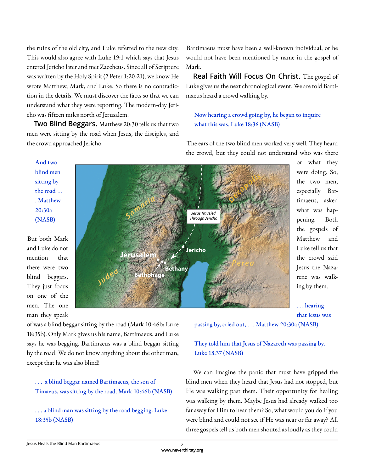the ruins of the old city, and Luke referred to the new city. This would also agree with Luke 19:1 which says that Jesus entered Jericho later and met Zaccheus. Since all of Scripture was written by the Holy Spirit (2 Peter 1:20-21), we know He wrote Matthew, Mark, and Luke. So there is no contradiction in the details. We must discover the facts so that we can understand what they were reporting. The modern-day Jericho was fi fteen miles north of Jerusalem.

**Two Blind Beggars.** Matthew 20:30 tells us that two men were sitting by the road when Jesus, the disciples, and the crowd approached Jericho.

Bartimaeus must have been a well-known individual, or he would not have been mentioned by name in the gospel of Mark.

**Real Faith Will Focus On Christ.** The gospel of Luke gives us the next chronological event. We are told Bartimaeus heard a crowd walking by.

## Now hearing a crowd going by, he began to inquire what this was. Luke 18:36 (NASB)

The ears of the two blind men worked very well. They heard the crowd, but they could not understand who was there

And two blind men sitting by the road . . . Matthew 20:30a (NASB)

But both Mark and Luke do not mention that there were two blind beggars. They just focus on one of the men. The one man they speak



or what they were doing. So, the two men, especially Bartimaeus, asked what was happening. Both the gospels of Matthew and Luke tell us that the crowd said Jesus the Nazarene was walking by them.

. . . hearing that Jesus was passing by, cried out, . . . Matthew 20:30a (NASB)

of was a blind beggar sitting by the road (Mark 10:46b; Luke 18:35b). Only Mark gives us his name, Bartimaeus, and Luke says he was begging. Bartimaeus was a blind beggar sitting by the road. We do not know anything about the other man, except that he was also blind!

#### . . . a blind beggar named Bartimaeus, the son of Timaeus, was sitting by the road. Mark 10:46b (NASB)

. . . a blind man was sitting by the road begging. Luke 18:35b (NASB)

They told him that Jesus of Nazareth was passing by. Luke 18:37 (NASB)

We can imagine the panic that must have gripped the blind men when they heard that Jesus had not stopped, but He was walking past them. Their opportunity for healing was walking by them. Maybe Jesus had already walked too far away for Him to hear them? So, what would you do if you were blind and could not see if He was near or far away? All three gospels tell us both men shouted as loudly as they could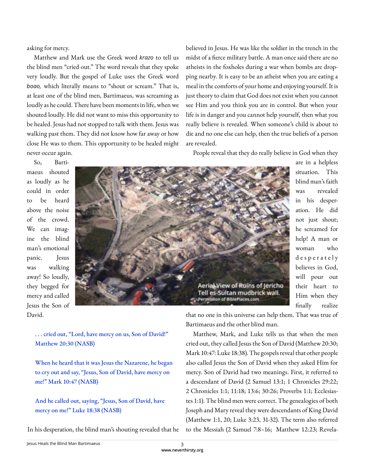asking for mercy.

Matthew and Mark use the Greek word *krazo* to tell us the blind men "cried out." The word reveals that they spoke very loudly. But the gospel of Luke uses the Greek word *boao,* which literally means to "shout or scream." That is, at least one of the blind men, Bartimaeus, was screaming as loudly as he could. There have been moments in life, when we shouted loudly. He did not want to miss this opportunity to be healed. Jesus had not stopped to talk with them. Jesus was walking past them. They did not know how far away or how close He was to them. This opportunity to be healed might never occur again.

believed in Jesus. He was like the soldier in the trench in the midst of a fierce military battle. A man once said there are no atheists in the foxholes during a war when bombs are dropping nearby. It is easy to be an atheist when you are eating a meal in the comforts of your home and enjoying yourself. It is just theory to claim that God does not exist when you cannot see Him and you think you are in control. But when your life is in danger and you cannot help yourself, then what you really believe is revealed. When someone's child is about to die and no one else can help, then the true beliefs of a person are revealed.

People reveal that they do really believe in God when they

So, Bartimaeus shouted as loudly as he could in order to be heard above the noise of the crowd. We can imagine the blind man's emotional panic. Jesus was walking away! So loudly, they begged for mercy and called Jesus the Son of David.



are in a helpless situation. This blind man's faith was revealed in his desperation. He did not just shout; he screamed for help! A man or woman who d e s p e r a t e l y believes in God, will pour out their heart to Him when they finally realize

. . . cried out, "Lord, have mercy on us, Son of David!" Matthew 20:30 (NASB)

When he heard that it was Jesus the Nazarene, he began to cry out and say, "Jesus, Son of David, have mercy on me!" Mark 10:47 (NASB)

And he called out, saying, "Jesus, Son of David, have mercy on me!" Luke 18:38 (NASB)

In his desperation, the blind man's shouting revealed that he

that no one in this universe can help them. That was true of Bartimaeus and the other blind man.

Matthew, Mark, and Luke tells us that when the men cried out, they called Jesus the Son of David (Matthew 20:30; Mark 10:47: Luke 18:38). The gospels reveal that other people also called Jesus the Son of David when they asked Him for mercy. Son of David had two meanings. First, it referred to a descendant of David (2 Samuel 13:1; 1 Chronicles 29:22; 2 Chronicles 1:1; 11:18; 13:6; 30:26; Proverbs 1:1; Ecclesiastes 1:1). The blind men were correct. The genealogies of both Joseph and Mary reveal they were descendants of King David (Matthew 1:1, 20; Luke 3:23, 31-32). The term also referred to the Messiah (2 Samuel 7:8–16; Matthew 12:23; Revela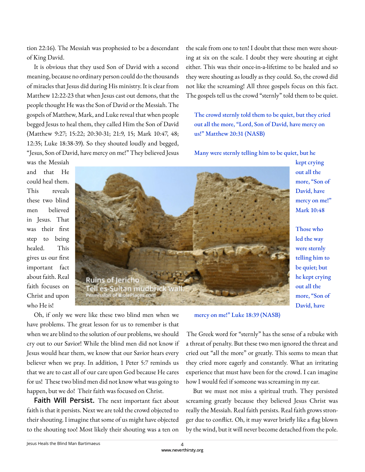tion 22:16). The Messiah was prophesied to be a descendant of King David.

It is obvious that they used Son of David with a second meaning, because no ordinary person could do the thousands of miracles that Jesus did during His ministry. It is clear from Matthew 12:22-23 that when Jesus cast out demons, that the people thought He was the Son of David or the Messiah. The gospels of Matthew, Mark, and Luke reveal that when people begged Jesus to heal them, they called Him the Son of David (Matthew 9:27; 15:22; 20:30-31; 21:9, 15; Mark 10:47, 48; 12:35; Luke 18:38-39). So they shouted loudly and begged, "Jesus, Son of David, have mercy on me!" They believed Jesus the scale from one to ten! I doubt that these men were shouting at six on the scale. I doubt they were shouting at eight either. This was their once-in-a-lifetime to be healed and so they were shouting as loudly as they could. So, the crowd did not like the screaming! All three gospels focus on this fact. The gospels tell us the crowd "sternly" told them to be quiet.

The crowd sternly told them to be quiet, but they cried out all the more, "Lord, Son of David, have mercy on us!" Matthew 20:31 (NASB)

Many were sternly telling him to be quiet, but he

was the Messiah and that He could heal them. This reveals these two blind men believed in Jesus. That was their first step to being healed. This gives us our first important fact about faith. Real faith focuses on Christ and upon who He is!



kept crying out all the more, "Son of David, have mercy on me!" Mark 10:48

Those who led the way were sternly telling him to be quiet; but he kept crying out all the more, "Son of David, have

Oh, if only we were like these two blind men when we have problems. The great lesson for us to remember is that when we are blind to the solution of our problems, we should cry out to our Savior! While the blind men did not know if Jesus would hear them, we know that our Savior hears every believer when we pray. In addition, 1 Peter 5:7 reminds us that we are to cast all of our care upon God because He cares for us! These two blind men did not know what was going to happen, but we do! Their faith was focused on Christ.

**Faith Will Persist.** The next important fact about faith is that it persists. Next we are told the crowd objected to their shouting. I imagine that some of us might have objected to the shouting too! Most likely their shouting was a ten on

mercy on me!" Luke 18:39 (NASB)

The Greek word for "sternly" has the sense of a rebuke with a threat of penalty. But these two men ignored the threat and cried out "all the more" or greatly. This seems to mean that they cried more eagerly and constantly. What an irritating experience that must have been for the crowd. I can imagine how I would feel if someone was screaming in my ear.

But we must not miss a spiritual truth. They persisted screaming greatly because they believed Jesus Christ was really the Messiah. Real faith persists. Real faith grows stronger due to conflict. Oh, it may waver briefly like a flag blown by the wind, but it will never become detached from the pole.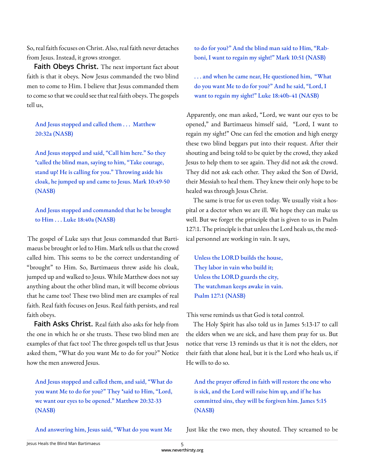So, real faith focuses on Christ. Also, real faith never detaches from Jesus. Instead, it grows stronger.

**Faith Obeys Christ.** The next important fact about faith is that it obeys. Now Jesus commanded the two blind men to come to Him. I believe that Jesus commanded them to come so that we could see that real faith obeys. The gospels tell us,

And Jesus stopped and called them . . . Matthew 20:32a (NASB)

And Jesus stopped and said, "Call him here." So they \*called the blind man, saying to him, "Take courage, stand up! He is calling for you." Throwing aside his cloak, he jumped up and came to Jesus. Mark 10:49-50 (NASB)

And Jesus stopped and commanded that he be brought to Him . . . Luke 18:40a (NASB)

The gospel of Luke says that Jesus commanded that Bartimaeus be brought or led to Him. Mark tells us that the crowd called him. This seems to be the correct understanding of "brought" to Him. So, Bartimaeus threw aside his cloak, jumped up and walked to Jesus. While Matthew does not say anything about the other blind man, it will become obvious that he came too! These two blind men are examples of real faith. Real faith focuses on Jesus. Real faith persists, and real faith obeys.

**Faith Asks Christ.** Real faith also asks for help from the one in which he or she trusts. These two blind men are examples of that fact too! The three gospels tell us that Jesus asked them, "What do you want Me to do for you?" Notice how the men answered Jesus.

And Jesus stopped and called them, and said, "What do you want Me to do for you?" They \*said to Him, "Lord, we want our eyes to be opened." Matthew 20:32-33 (NASB)

And answering him, Jesus said, "What do you want Me

to do for you?" And the blind man said to Him, "Rabboni, I want to regain my sight!" Mark 10:51 (NASB)

. . . and when he came near, He questioned him, "What do you want Me to do for you?" And he said, "Lord, I want to regain my sight!" Luke 18:40b-41 (NASB)

Apparently, one man asked, "Lord, we want our eyes to be opened," and Bartimaeus himself said, "Lord, I want to regain my sight!" One can feel the emotion and high energy these two blind beggars put into their request. After their shouting and being told to be quiet by the crowd, they asked Jesus to help them to see again. They did not ask the crowd. They did not ask each other. They asked the Son of David, their Messiah to heal them. They knew their only hope to be healed was through Jesus Christ.

The same is true for us even today. We usually visit a hospital or a doctor when we are ill. We hope they can make us well. But we forget the principle that is given to us in Psalm 127:1. The principle is that unless the Lord heals us, the medical personnel are working in vain. It says,

Unless the LORD builds the house, They labor in vain who build it; Unless the LORD guards the city, The watchman keeps awake in vain. Psalm 127:1 (NASB)

This verse reminds us that God is total control.

The Holy Spirit has also told us in James 5:13-17 to call the elders when we are sick, and have them pray for us. But notice that verse 13 reminds us that it is not the elders, nor their faith that alone heal, but it is the Lord who heals us, if He wills to do so.

And the prayer offered in faith will restore the one who is sick, and the Lord will raise him up, and if he has committed sins, they will be forgiven him. James 5:15 (NASB)

Just like the two men, they shouted. They screamed to be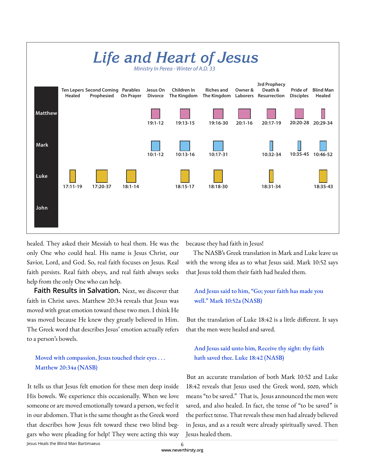

healed. They asked their Messiah to heal them. He was the only One who could heal. His name is Jesus Christ, our Savior, Lord, and God. So, real faith focuses on Jesus. Real faith persists. Real faith obeys, and real faith always seeks help from the only One who can help.

**Faith Results in Salvation.** Next, we discover that faith in Christ saves. Matthew 20:34 reveals that Jesus was moved with great emotion toward these two men. I think He was moved because He knew they greatly believed in Him. The Greek word that describes Jesus' emotion actually refers to a person's bowels.

# Moved with compassion, Jesus touched their eyes ... Matthew 20:34a (NASB)

It tells us that Jesus felt emotion for these men deep inside His bowels. We experience this occasionally. When we love someone or are moved emotionally toward a person, we feel it in our abdomen. That is the same thought as the Greek word that describes how Jesus felt toward these two blind beggars who were pleading for help! They were acting this way

because they had faith in Jesus!

The NASB's Greek translation in Mark and Luke leave us with the wrong idea as to what Jesus said. Mark 10:52 says that Jesus told them their faith had healed them.

## And Jesus said to him, "Go; your faith has made you well." Mark 10:52a (NASB)

But the translation of Luke 18:42 is a little different. It says that the men were healed and saved.

## And Jesus said unto him, Receive thy sight: thy faith hath saved thee. Luke 18:42 (NASB)

But an accurate translation of both Mark 10:52 and Luke 18:42 reveals that Jesus used the Greek word, *sozo*, which means "to be saved." That is, Jesus announced the men were saved, and also healed. In fact, the tense of "to be saved" is the perfect tense. That reveals these men had already believed in Jesus, and as a result were already spiritually saved. Then Jesus healed them.